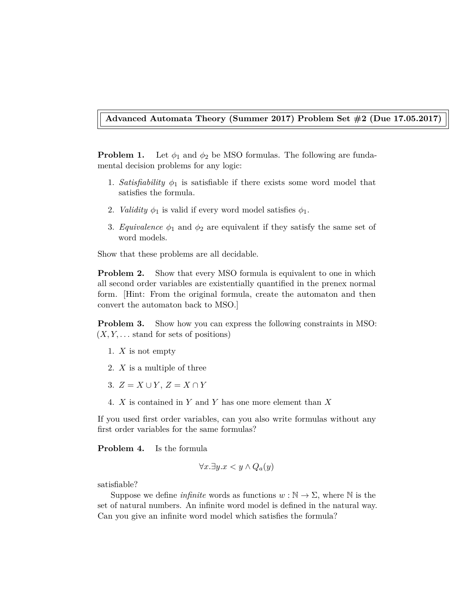## **Advanced Automata Theory (Summer 2017) Problem Set #2 (Due 17.05.2017)**

**Problem 1.** Let  $\phi_1$  and  $\phi_2$  be MSO formulas. The following are fundamental decision problems for any logic:

- 1. *Satisfiability*  $\phi_1$  is satisfiable if there exists some word model that satisfies the formula.
- 2. *Validity*  $\phi_1$  is valid if every word model satisfies  $\phi_1$ .
- 3. *Equivalence*  $\phi_1$  and  $\phi_2$  are equivalent if they satisfy the same set of word models.

Show that these problems are all decidable.

**Problem 2.** Show that every MSO formula is equivalent to one in which all second order variables are existentially quantified in the prenex normal form. [Hint: From the original formula, create the automaton and then convert the automaton back to MSO.]

**Problem 3.** Show how you can express the following constraints in MSO:  $(X, Y, \ldots)$  stand for sets of positions)

- 1. *X* is not empty
- 2. *X* is a multiple of three
- 3.  $Z = X \cup Y$ ,  $Z = X \cap Y$
- 4. *X* is contained in *Y* and *Y* has one more element than *X*

If you used first order variables, can you also write formulas without any first order variables for the same formulas?

**Problem 4.** Is the formula

$$
\forall x. \exists y. x < y \land Q_a(y)
$$

satisfiable?

Suppose we define *infinite* words as functions  $w : \mathbb{N} \to \Sigma$ , where  $\mathbb N$  is the set of natural numbers. An infinite word model is defined in the natural way. Can you give an infinite word model which satisfies the formula?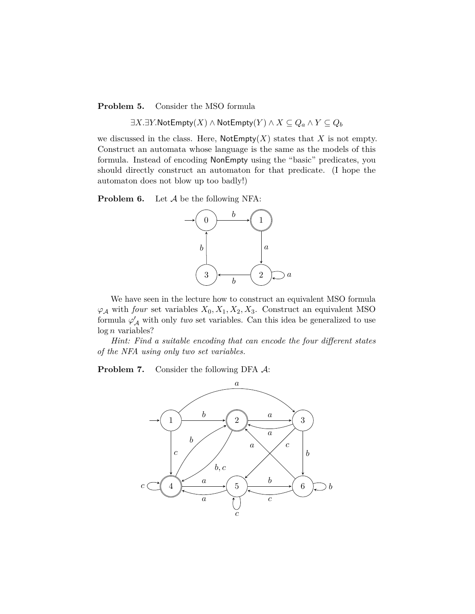**Problem 5.** Consider the MSO formula

∃*X.*∃*Y.*NotEmpty(*X*) ∧ NotEmpty(*Y* ) ∧ *X* ⊆ *Q<sup>a</sup>* ∧ *Y* ⊆ *Q<sup>b</sup>*

we discussed in the class. Here,  $\mathsf{NotEmpty}(X)$  states that X is not empty. Construct an automata whose language is the same as the models of this formula. Instead of encoding NonEmpty using the "basic" predicates, you should directly construct an automaton for that predicate. (I hope the automaton does not blow up too badly!)

**Problem 6.** Let A be the following NFA:



We have seen in the lecture how to construct an equivalent MSO formula  $\varphi_A$  with *four* set variables  $X_0, X_1, X_2, X_3$ . Construct an equivalent MSO formula  $\varphi'_{\mathcal{A}}$  with only *two* set variables. Can this idea be generalized to use log *n* variables?

*Hint: Find a suitable encoding that can encode the four different states of the NFA using only two set variables.*

**Problem 7.** Consider the following DFA  $\mathcal{A}$ :